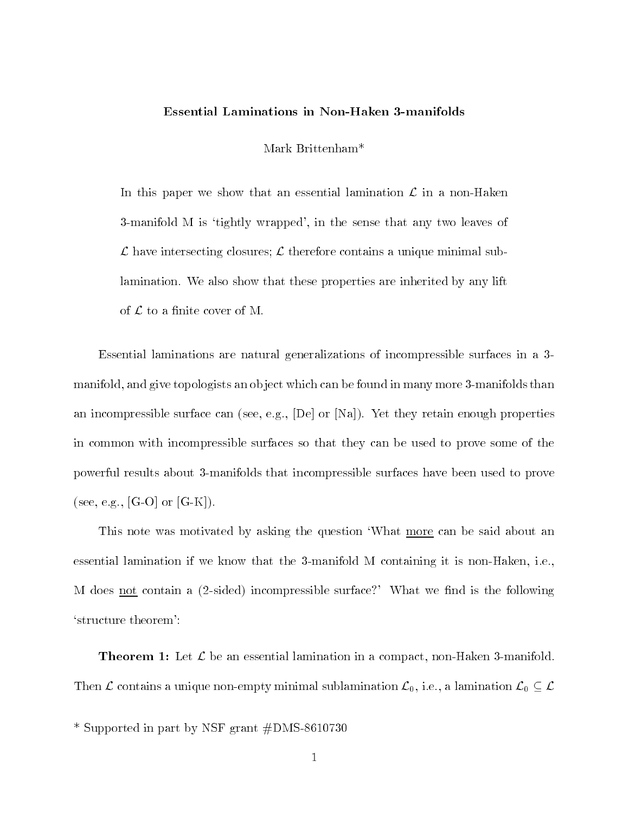## Essential Laminations in Non-Haken 3-manifolds

Mark Brittenham<sup>\*</sup>

In this paper we show that an essential lamination  $\mathcal L$  in a non-Haken 3-manifold M is `tightly wrapped', in the sense that any two leaves of  $\mathcal L$  have intersecting closures;  $\mathcal L$  therefore contains a unique minimal sublamination. We also show that these properties are inherited by any lift of  $\mathcal L$  to a finite cover of M.

Essential laminations are natural generalizations of incompressible surfaces in a 3 manifold, and give topologists an ob ject which can be found in many more 3-manifolds than an incompressible surface can (see, e.g., [De] or [Na]). Yet they retain enough properties in common with incompressible surfaces so that they can be used to prove some of the powerful results about 3-manifolds that incompressible surfaces have been used to prove (see, e.g., [G-O] or  $[G-K]$ ).

This note was motivated by asking the question `What more can be said about an essential lamination if we know that the 3-manifold M containing it is non-Haken, i.e., M does <u>not</u> contain a  $(2$ -sided) incompressible surface?' What we find is the following `structure theorem':

**Theorem 1:** Let  $\mathcal{L}$  be an essential lamination in a compact, non-Haken 3-manifold. Then  $\mathcal L$  contains a unique non-empty minimal sublamination  $\mathcal L_0$ , i.e., a lamination  $\mathcal L_0 \subseteq \mathcal L$ 

\* Supported in part by NSF grant #DMS-8610730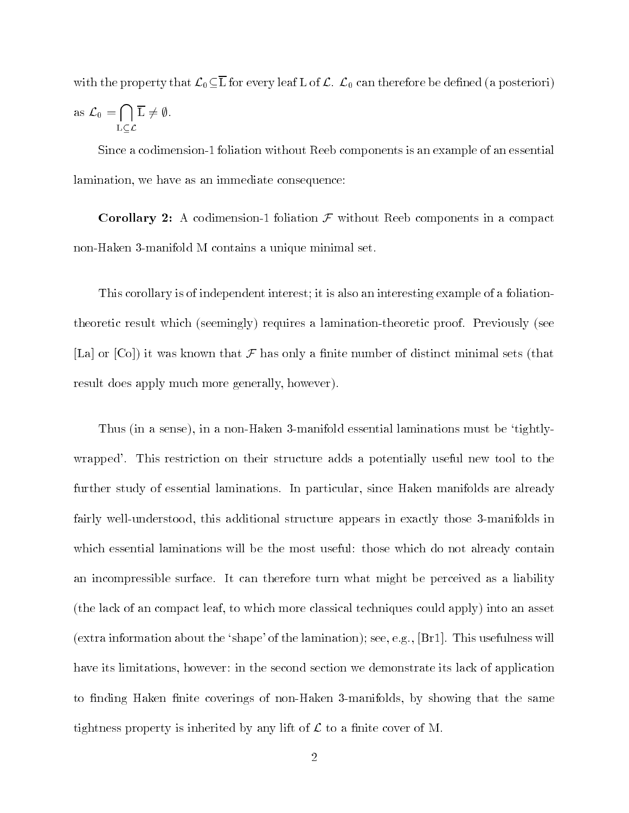with the property that  $\mathcal{L}_0 \subseteq \overline{L}$  for every leaf L of  $\mathcal{L}$ .  $\mathcal{L}_0$  can therefore be defined (a posteriori) as  $\mathcal{L}_0 = \bigcap \overline{\mathcal{L}} \neq \emptyset$ .  $\sim$   $\sim$   $\sim$   $\sim$  $\mathrm{L}\,\neq\emptyset$ .

Since a codimension-1 foliation without Reeb components is an example of an essential lamination, we have as an immediate consequence:

**Corollary 2:** A codimension-1 foliation  $\mathcal F$  without Reeb components in a compact non-Haken 3-manifold M contains a unique minimal set.

This corollary is of independent interest; it is also an interesting example of a foliationtheoretic result which (seemingly) requires a lamination-theoretic proof. Previously (see [La] or  $[C_0]$ ) it was known that  $\mathcal F$  has only a finite number of distinct minimal sets (that result does apply much more generally, however).

Thus (in a sense), in a non-Haken 3-manifold essential laminations must be `tightlywrapped'. This restriction on their structure adds a potentially useful new tool to the further study of essential laminations. In particular, since Haken manifolds are already fairly well-understood, this additional structure appears in exactly those 3-manifolds in which essential laminations will be the most useful: those which do not already contain an incompressible surface. It can therefore turn what might be perceived as a liability (the lack of an compact leaf, to which more classical techniques could apply) into an asset (extra information about the 'shape' of the lamination); see, e.g.,  $[Br1]$ . This usefulness will have its limitations, however: in the second section we demonstrate its lack of application to finding Haken finite coverings of non-Haken 3-manifolds, by showing that the same tightness property is inherited by any lift of  $\mathcal L$  to a finite cover of M.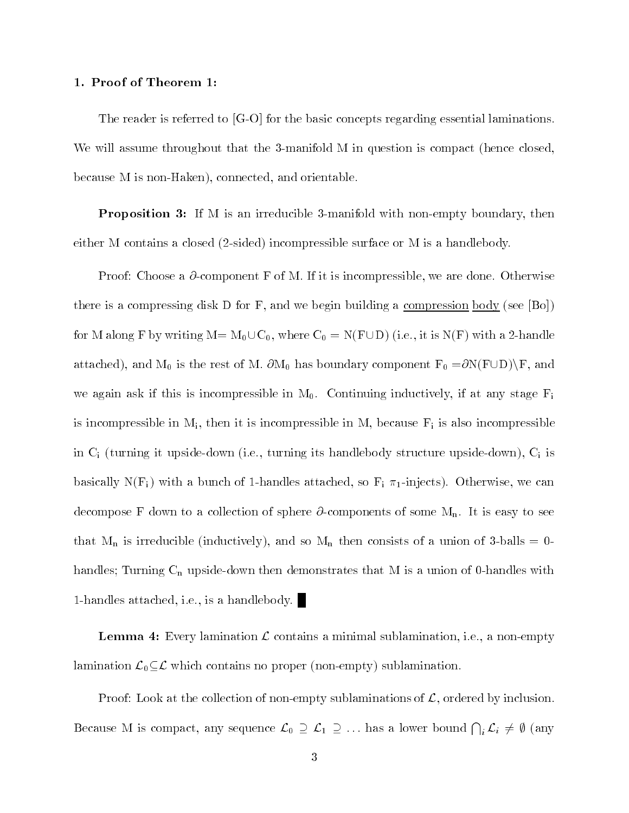## 1. Proof of Theorem 1:

The reader is referred to [G-O] for the basic concepts regarding essential laminations. We will assume throughout that the 3-manifold M in question is compact (hence closed, because M is non-Haken), connected, and orientable.

 $\bf{P}$  reposition  $\bf{J}$ . If M is an irreducible 3-manifold with non-empty boundary, then either M contains a closed (2-sided) incompressible surface or M is a handlebody.

Proof: Choose a  $\partial$ -component F of M. If it is incompressible, we are done. Otherwise there is a compressing disk D for F, and we begin building a <u>compression body</u> (see [Bo]) for M along F by writing  $M = M_0 \cup C_0$ , where  $C_0 = N(F \cup D)$  (i.e., it is  $N(F)$  with a 2-handle attached), and  $M_0$  is the rest of M.  $\partial M_0$  has boundary component  $F_0 = \partial N(F \cup D) \backslash F$ , and we again ask if this is incompressible in  $M_0$ . Continuing inductively, if at any stage  $F_i$ is incompressible in  $M_i$ , then it is incompressible in M, because  $F_i$  is also incompressible in  $C_i$  (turning it upside-down (i.e., turning its handlebody structure upside-down),  $C_i$  is basically  $N(F_i)$  with a bunch of 1-handles attached, so  $F_i \pi_1$ -injects). Otherwise, we can decompose F down to a collection of sphere  $\partial$ -components of some  $M_n$ . It is easy to see that  $M_n$  is irreducible (inductively), and so  $M_n$  then consists of a union of 3-balls = 0handles; Turning  $C_n$  upside-down then demonstrates that M is a union of 0-handles with 1-handles attached, i.e., is a handlebody.

**Lemma 4:** Every lamination  $\mathcal L$  contains a minimal sublamination, i.e., a non-empty lamination  $\mathcal{L}_0 \subseteq \mathcal{L}$  which contains no proper (non-empty) sublamination.

Proof: Look at the collection of non-empty sublaminations of  $\mathcal{L}$ , ordered by inclusion. Proof: Look at the collection of non-empty sublaminations of  $\mathcal{L}$ , ordered by inclusion.<br>Because M is compact, any sequence  $\mathcal{L}_0 \supseteq \mathcal{L}_1 \supseteq ...$  has a lower bound  $\bigcap_i \mathcal{L}_i \neq \emptyset$  (any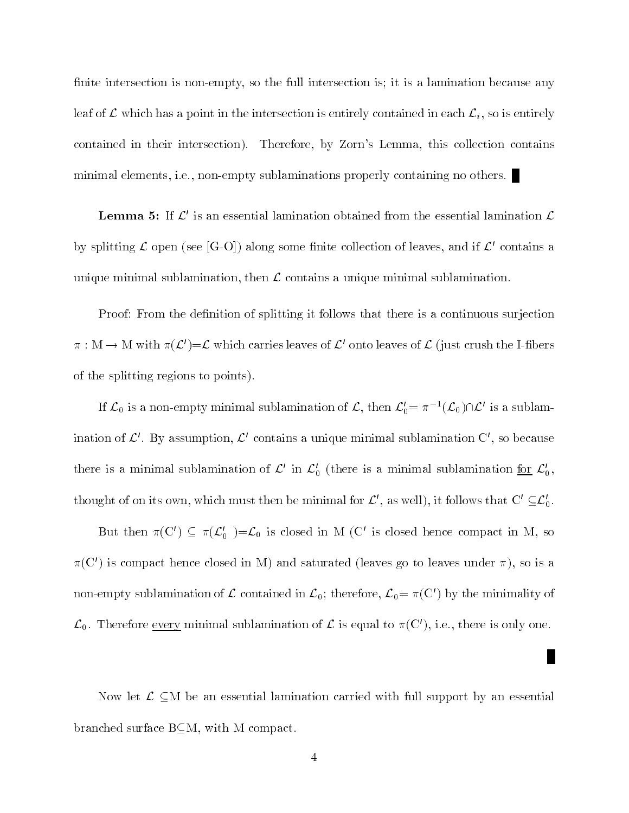finite intersection is non-empty, so the full intersection is; it is a lamination because any leaf of  $\mathcal L$  which has a point in the intersection is entirely contained in each  $\mathcal L_i$ , so is entirely contained in their intersection). Therefore, by Zorn's Lemma, this collection contains minimal elements, i.e., non-empty sublaminations properly containing no others.

**Lemma 5:** If  $\mathcal{L}'$  is an essential lamination obtained from the essential lamination  $\mathcal{L}$ by splitting  $\mathcal L$  open (see [G-O]) along some finite collection of leaves, and if  $\mathcal L'$  contains a unique minimal sublamination, then  $\mathcal L$  contains a unique minimal sublamination.

Proof: From the definition of splitting it follows that there is a continuous surjection  $\pi : M \to M$  with  $\pi(\mathcal{L}') = \mathcal{L}$  which carries leaves of  $\mathcal{L}'$  onto leaves of  $\mathcal{L}$  (just crush the I-fibers of the splitting regions to points).

If  $\mathcal{L}_0$  is a non-empty minimal sublamination of  $\mathcal{L}$ , then  $\mathcal{L}'_0=\pi^{-1}(\mathcal{L}_0)\cap\mathcal{L}'$  is a sublamination of  $\mathcal{L}'$ . By assumption,  $\mathcal{L}'$  contains a unique minimal sublamination C', so because there is a minimal sublamination of  $\mathcal{L}'$  in  $\mathcal{L}'_0$  (there is a minimal sublamination for  $\mathcal{L}'_0$ , thought of on its own, which must then be minimal for  $\mathcal{L}'$ , as well), it follows that  $C' \subseteq \mathcal{L}'_0$ .

But then  $\pi(C') \subseteq \pi(\mathcal{L}'_0) = \mathcal{L}_0$  is closed in M (C' is closed hence compact in M, so  $\pi(C')$  is compact hence closed in M) and saturated (leaves go to leaves under  $\pi$ ), so is a non-empty sublamination of  $\mathcal L$  contained in  $\mathcal L_0$ ; therefore,  $\mathcal L_0 = \pi(C')$  by the minimality of  $\mathcal{L}_0$ . Therefore <u>every</u> minimal sublamination of  $\mathcal L$  is equal to  $\pi(C')$ , i.e., there is only one.

Now let  $\mathcal{L} \subseteq M$  be an essential lamination carried with full support by an essential branched surface  $B \subseteq M$ , with M compact.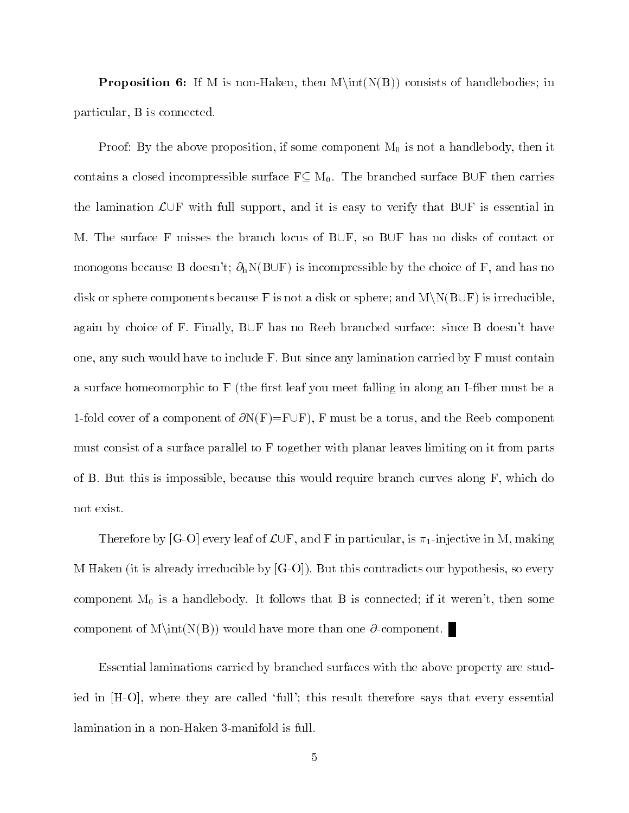**Proposition 6:** If M is non-Haken, then  $M\int(N(B))$  consists of handlebodies; in particular, B is connected.

Proof: By the above proposition, if some component  $M_0$  is not a handlebody, then it contains a closed incompressible surface  $F \subseteq M_0$ . The branched surface BUF then carries the lamination  $\mathcal{L}\cup\mathbb{F}$  with full support, and it is easy to verify that B $\cup\mathbb{F}$  is essential in M. The surface F misses the branch locus of  $B\cup F$ , so  $B\cup F$  has no disks of contact or monogons because B doesn't;  $\partial_h N(B \cup F)$  is incompressible by the choice of F, and has no disk or sphere components because F is not a disk or sphere; and  $M\setminus N(B\cup F)$  is irreducible, again by choice of F. Finally,  $B\cup F$  has no Reeb branched surface: since B doesn't have one, any such would have to include  $F$ . But since any lamination carried by  $F$  must contain a surface homeomorphic to  $F$  (the first leaf you meet falling in along an I-fiber must be a 1-fold cover of a component of  $\partial N(F)=F\cup F$ ), F must be a torus, and the Reeb component must consist of a surface parallel to F together with planar leaves limiting on it from parts of B. But this is impossible, because this would require branch curves along F, which do not exist.

Therefore by [G-O] every leaf of  $\mathcal{L}\cup F$ , and F in particular, is  $\pi_1$ -injective in M, making M Haken (it is already irreducible by [G-O]). But this contradicts our hypothesis, so every component  $M_0$  is a handlebody. It follows that B is connected; if it weren't, then some component of  $M\int(N(B))$  would have more than one  $\partial$ -component.

Essential laminations carried by branched surfaces with the above property are studied in [H-O], where they are called 'full'; this result therefore says that every essential lamination in a non-Haken 3-manifold is full.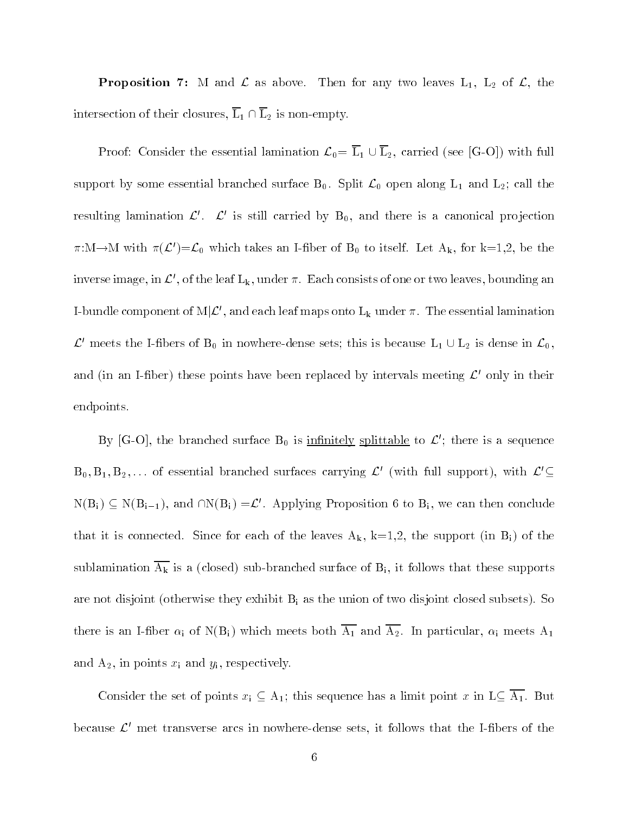**Proposition 7:** M and  $\mathcal{L}$  as above. Then for any two leaves  $L_1$ ,  $L_2$  of  $\mathcal{L}$ , the intersection of their closures,  $\overline{L}_1 \cap \overline{L}_2$  is non-empty.

Proof: Consider the essential lamination  $\mathcal{L}_0 = \overline{L}_1 \cup \overline{L}_2$ , carried (see [G-O]) with full support by some essential branched surface  $B_0$ . Split  $\mathcal{L}_0$  open along  $L_1$  and  $L_2$ ; call the resulting lamination  $\mathcal{L}'$ .  $\mathcal{L}'$  is still carried by  $B_0$ , and there is a canonical projection  $\pi:\mathcal{M}\to\mathcal{M}$  with  $\pi(\mathcal{L}')=\mathcal{L}_0$  which takes an I-fiber of B<sub>0</sub> to itself. Let A<sub>k</sub>, for k=1,2, be the inverse image, in  $\mathcal{L}'$ , of the leaf  $L_k$ , under  $\pi$ . Each consists of one or two leaves, bounding an I-bundle component of  $M|\mathcal{L}'$ , and each leaf maps onto  $L_k$  under  $\pi$ . The essential lamination  $\mathcal{L}^{\prime}$  meets the I-fibers of  $B_0$  in nowhere-dense sets; this is because  $L_1 \cup L_2$  is dense in  $\mathcal{L}_0$ , and (in an I-fiber) these points have been replaced by intervals meeting  $\mathcal{L}'$  only in their endpoints.

By [G-O], the branched surface  $B_0$  is infinitely splittable to  $\mathcal{L}'$ ; there is a sequence  $B_0, B_1, B_2,...$  of essential branched surfaces carrying  $\mathcal{L}'$  (with full support), with  $\mathcal{L}' \subseteq$  $N(B_i) \subseteq N(B_{i-1}),$  and  $\cap N(B_i) = \mathcal{L}'$ . Applying Proposition 6 to B<sub>i</sub>, we can then conclude that it is connected. Since for each of the leaves  $A_k$ ,  $k=1,2$ , the support (in  $B_i$ ) of the sublamination  $\overline{A_k}$  is a (closed) sub-branched surface of  $B_i$ , it follows that these supports are not disjoint (otherwise they exhibit  $B_i$  as the union of two disjoint closed subsets). So there is an I-fiber  $\alpha_i$  of N(B<sub>i</sub>) which meets both  $\overline{A_1}$  and  $\overline{A_2}$ . In particular,  $\alpha_i$  meets  $A_1$ and  $A_2$ , in points  $x_i$  and  $y_i$ , respectively.

Consider the set of points  $x_i \subseteq A_1$ ; this sequence has a limit point x in  $L \subseteq \overline{A_1}$ . But because  $\mathcal{L}'$  met transverse arcs in nowhere-dense sets, it follows that the I-fibers of the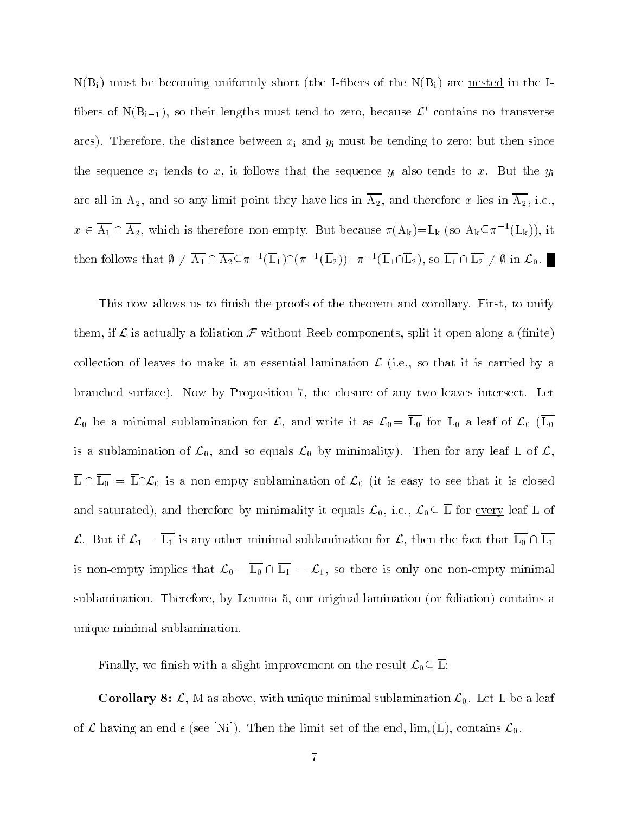$N(B_i)$  must be becoming uniformly short (the I-fibers of the  $N(B_i)$ ) are nested in the Ifibers of  $N(B_{i-1})$ , so their lengths must tend to zero, because  $\mathcal{L}'$  contains no transverse arcs). Therefore, the distance between  $x_i$  and  $y_i$  must be tending to zero; but then since the sequence  $x_i$  tends to  $x$ , it follows that the sequence  $y_i$  also tends to  $x$ . But the  $y_i$ are all in  $A_2$ , and so any limit point they have lies in  $\overline{A_2}$ , and therefore x lies in  $\overline{A_2}$ , i.e.,  $x \in A_1 \cap A_2$ , which is therefore non-empty. But because  $\pi(A_k)=L_k$  (so  $A_k\subseteq \pi^{-1}(L_k)$ ), it  $x \in A_1 \cap A_2$ , which is therefore non-e<br>then follows that  $\emptyset \neq \overline{A_1} \cap \overline{A_2} \subseteq \pi^{-1}(\overline{L_1})$  $(L_1) \cap (\pi^{-1}(L_2)) = \pi^{-1}(L_1 \cap L_2),$  so  $L_1 \cap L_2 \neq \emptyset$  in  $\mathcal{L}_0$ .

This now allows us to finish the proofs of the theorem and corollary. First, to unify them, if  $\mathcal L$  is actually a foliation  $\mathcal F$  without Reeb components, split it open along a (finite) collection of leaves to make it an essential lamination  $\mathcal{L}$  (i.e., so that it is carried by a branched surface). Now by Proposition 7, the closure of any two leaves intersect. Let  $\mathcal{L}_0$  be a minimal sublamination for  $\mathcal{L}$ , and write it as  $\mathcal{L}_0 = \overline{L_0}$  for  $L_0$  a leaf of  $\mathcal{L}_0$  ( $\overline{L_0}$ is a sublamination of  $\mathcal{L}_0$ , and so equals  $\mathcal{L}_0$  by minimality). Then for any leaf L of  $\mathcal{L}_1$ ,  $\overline{L} \cap \overline{L_0} = \overline{L} \cap \mathcal{L}_0$  is a non-empty sublamination of  $\mathcal{L}_0$  (it is easy to see that it is closed and saturated), and therefore by minimality it equals  $\mathcal{L}_0$ , i.e.,  $\mathcal{L}_0 \subseteq \overline{L}$  for <u>every</u> leaf L of L. But if  $\mathcal{L}_1 = \overline{L_1}$  is any other minimal sublamination for L, then the fact that  $\overline{L_0} \cap \overline{L_1}$ is non-empty implies that  $\mathcal{L}_0 = \overline{L_0} \cap \overline{L_1} = \mathcal{L}_1$ , so there is only one non-empty minimal sublamination. Therefore, by Lemma 5, our original lamination (or foliation) contains a unique minimal sublamination.

Finally, we finish with a slight improvement on the result  $\mathcal{L}_0 \subseteq \overline{L}$ :

**Corollary 8:**  $\mathcal{L}$ , M as above, with unique minimal sublamination  $\mathcal{L}_0$ . Let L be a leaf of  $\mathcal L$  having an end  $\epsilon$  (see [Ni]). Then the limit set of the end,  $\lim_{\epsilon}(L)$ , contains  $\mathcal L_0$ .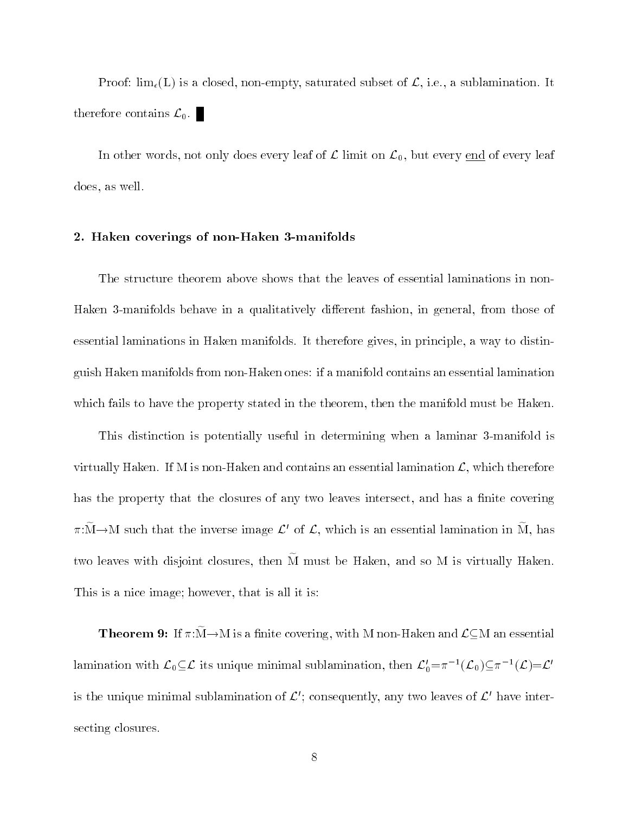Proof:  $\lim_{\epsilon}(L)$  is a closed, non-empty, saturated subset of  $\mathcal{L}$ , i.e., a sublamination. It therefore contains  $\mathcal{L}_0$ .

In other words, not only does every leaf of  $\mathcal L$  limit on  $\mathcal L_0$ , but every end of every leaf does, as well.

## 2. Haken coverings of non-Haken 3-manifolds

The structure theorem above shows that the leaves of essential laminations in non-Haken 3-manifolds behave in a qualitatively different fashion, in general, from those of essential laminations in Haken manifolds. It therefore gives, in principle, a way to distinguish Haken manifolds from non-Haken ones: if a manifold contains an essential lamination which fails to have the property stated in the theorem, then the manifold must be Haken.

This distinction is potentially useful in determining when a laminar 3-manifold is virtually Haken. If M is non-Haken and contains an essential lamination  $\mathcal{L}$ , which therefore has the property that the closures of any two leaves intersect, and has a finite covering  $\pi:\mathcal{M}\to\mathcal{M}$  such that the inverse image  $\mathcal{L}'$  of  $\mathcal{L}$ , which is an essential lamination in M, has two leaves with disjoint closures, then M must be Haken, and so M is virtually Haken. This is a nice image; however, that is all it is:

**Theorem 9:** If  $\pi:\mathbf{M}\to\mathbf{M}$  is a finite covering, with M non-Haken and  $\mathcal{L}\subset\mathbf{M}$  an essential lamination with  $\mathcal{L}_0 \subseteq \mathcal{L}$  its unique minimal sublamination, then  $\mathcal{L}'_0 = \pi^{-1}(\mathcal{L}_0) \subseteq \pi^{-1}(\mathcal{L}) = \mathcal{L}'$ is the unique minimal sublamination of  $\mathcal{L}'$ ; consequently, any two leaves of  $\mathcal{L}'$  have intersecting closures.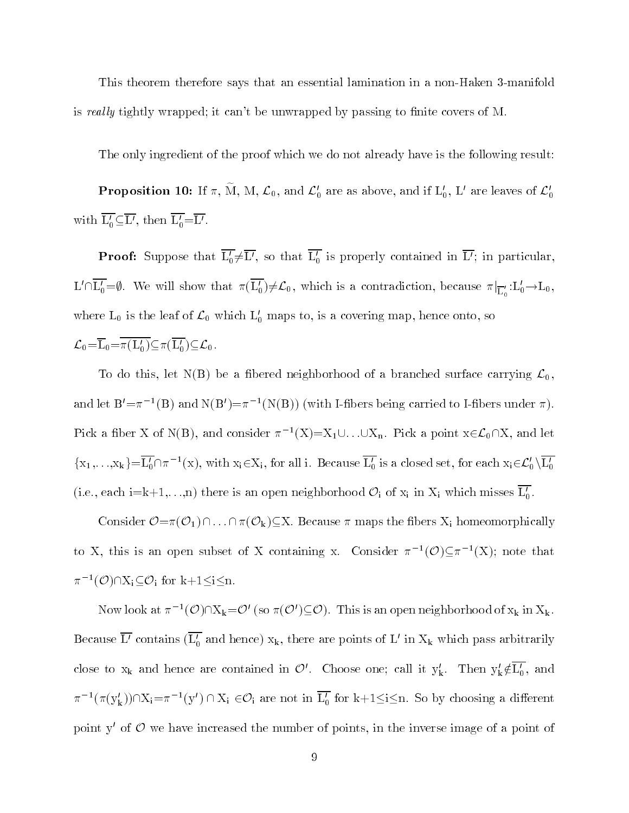This theorem therefore says that an essential lamination in a non-Haken 3-manifold is really tightly wrapped; it can't be unwrapped by passing to finite covers of M.

The only ingredient of the proof which we do not already have is the following result:

**Proposition 10:** If  $\pi$ , M, M,  $\mathcal{L}_0$ , and  $\mathcal{L}'_0$  are as above, and if  $\mathrm{L}'_0$ ,  $\mathrm{L}'$  are leaves of  $\mathcal{L}'_0$ with  $\overline{L'_0} \subseteq \overline{L'}$ , then  $\overline{L'_0} = \overline{L'}$ .

**Proof:** Suppose that  $L_0 \neq L'$ , so that  $L_0'$  is properly contained in L'; in particular,  $L'\cap L'_0=\emptyset$ . We will show that  $\pi(L'_0)\neq \mathcal{L}_0$ , which is a contradiction, because  $\pi|_{\overline{L}'_0}:L'_0\to \overline{L}_0$ , where  $L_0$  is the leaf of  $\mathcal{L}_0$  which  $L'_0$  maps to, is a covering map, hence onto, so  $\mathcal{L}_0\!=\!\overline{\mathcal{L}}_0\!=\!\overline{\pi(L_0')}\subseteq \!\pi(\overline{L_0'})\!\subseteq\!\mathcal{L}_0\,.$ 

To do this, let N(B) be a fibered neighborhood of a branched surface carrying  $\mathcal{L}_0$ , and let  $\mathbf{D} = \pi^{-1}(\mathbf{D})$  and  $\mathbf{N}(\mathbf{D}) = \pi^{-1}(\mathbf{N}(\mathbf{D}))$  (with I-fibers being carried to I-fibers under  $\pi$  ). Pick a fiber X of N(B), and consider  $\pi^{-1}(X)=X_1\cup\ldots\cup X_n$ . Pick a point  $x\in\mathcal{L}_0\cap X$ , and let  $\{x_1,\ldots,x_k\} = L_0' \cap \pi^{-1}(x)$ , with  $x_i \in X_i$ , for all i. Because  $L_0'$  is a closed set, for each  $x_i \in \mathcal{L}_0' \setminus L_0'$ (i.e., each i=k+1,...,n) there is an open neighborhood  $\mathcal{O}_i$  of  $x_i$  in  $X_i$  which misses  $\overline{L'_0}$ .

Consider  $\mathcal{O} = \pi(\mathcal{O}_1) \cap \ldots \cap \pi(\mathcal{O}_k) \subseteq X$ . Because  $\pi$  maps the fibers  $X_i$  homeomorphically to X, this is an open subset of X containing x. Consider  $\pi^{-1}(\mathcal{O}) \subset \pi^{-1}(X)$ ; note that  $\pi^{-1}(\mathcal{O}) \cap X_i \subseteq \mathcal{O}_i$  for k+1 $\leq i \leq n$ .

Now look at  $\pi^{-1}(\mathcal{O}) \cap X_k = \mathcal{O}'$  (so  $\pi(\mathcal{O}') \subseteq \mathcal{O}$ ). This is an open neighborhood of  $x_k$  in  $X_k$ . Because  $\overline{L'}$  contains  $(\overline{L'_0}$  and hence)  $x_k$ , there are points of L' in  $X_k$  which pass arbitrarily close to  $x_k$  and hence are contained in  $\mathcal{O}'$ . Choose one; call it  $y'_k$ . Then  $y'_k \notin \overline{L'_0}$ , and  $\pi^{-1}(\pi(y'_k)) \cap X_i = \pi^{-1}(y') \cap X_i \in \mathcal{O}_i$  are not in  $L'_0$  for  $k+1 \le i \le n$ . So by choosing a different point  $y'$  of  $\mathcal O$  we have increased the number of points, in the inverse image of a point of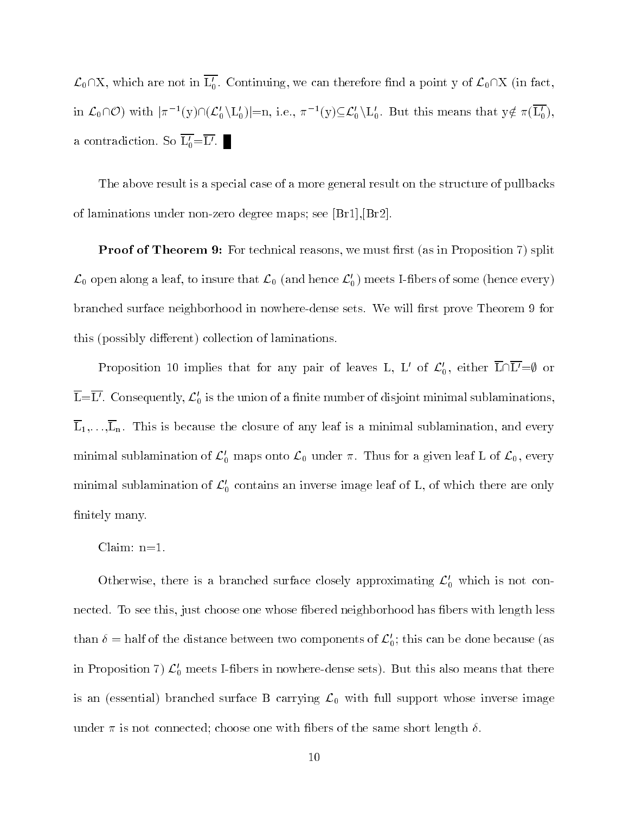$\mathcal{L}_0\cap X$ , which are not in  $\overline{L'_0}$ . Continuing, we can therefore find a point y of  $\mathcal{L}_0\cap X$  (in fact, in  $\mathcal{L}_0\cap\mathcal{O}$  with  $|\pi^{-1}(y)\cap(\mathcal{L}_0'\setminus L_0')|=n$ , i.e.,  $\pi^{-1}(y)\subseteq\mathcal{L}_0'\setminus L_0'$ . But this means that  $y\notin \pi(L_0'),$ a contradiction. So  $\overline{L'_0} = \overline{L'}$ .

The above result is a special case of a more general result on the structure of pullbacks of laminations under non-zero degree maps; see [Br1],[Br2].

**F** FOOT OF THEOREM  $\sigma$ . For technical reasons, we must mst (as in Froposition 7) split  $\mathcal{L}_0$  open along a leaf, to insure that  $\mathcal{L}_0$  (and hence  $\mathcal{L}'_0$ ) meets I-fibers of some (hence every) branched surface neighborhood in nowhere-dense sets. We will first prove Theorem 9 for this (possibly different) collection of laminations.

Proposition 10 implies that for any pair of leaves L, L' of  $\mathcal{L}'_0$ , either  $\overline{\text{L}} \cap \overline{\text{L}'} = \emptyset$  or  $\overline{L}=\overline{L'}$ . Consequently,  $\mathcal{L}'_0$  is the union of a finite number of disjoint minimal sublaminations  $\overline{L}_1,\ldots,\overline{L}_n$ . This is because the closure of any leaf is a minimal sublamination, and every minimal sublamination of  $\mathcal{L}'_0$  maps onto  $\mathcal{L}_0$  under  $\pi$ . Thus for a given leaf L of  $\mathcal{L}_0$ , every minimal sublamination of  $\mathcal{L}'_0$  contains an inverse image leaf of L, of which there are only finitely many.

Claim: n=1.

Otherwise, there is a branched surface closely approximating  $\mathcal{L}'_0$  which is not connected. To see this, just choose one whose fibered neighborhood has fibers with length less than  $\delta$  = half of the distance between two components of  $\mathcal{L}'_0$ ; this can be done because (as in Proposition 7)  $\mathcal{L}'_0$  meets I-fibers in nowhere-dense sets). But this also means that there is an (essential) branched surface B carrying  $\mathcal{L}_0$  with full support whose inverse image under  $\pi$  is not connected; choose one with fibers of the same short length  $\delta$ .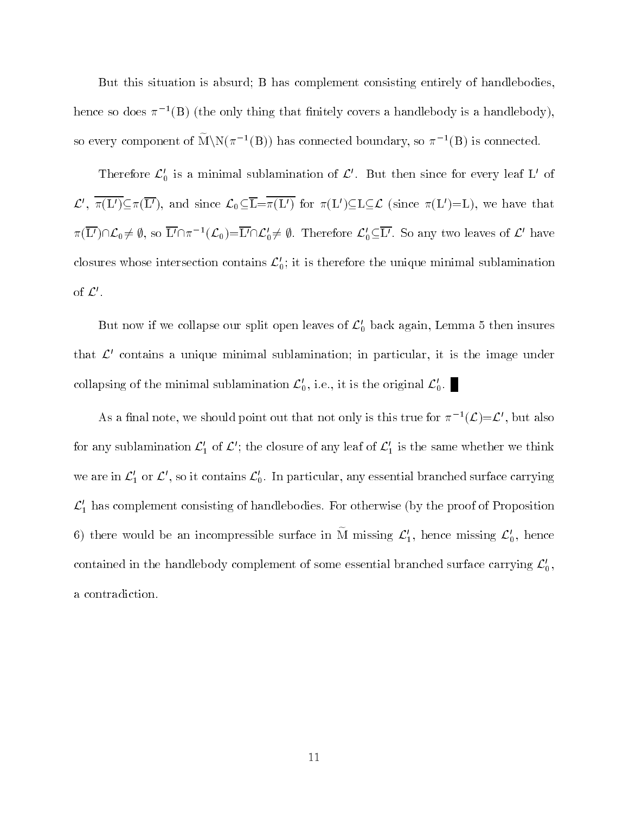But this situation is absurd; B has complement consisting entirely of handlebodies, hence so does  $\pi^{-+}$  (B) (the only thing that nintely covers a handlebody is a handlebody), so every component of  $M\ N(\pi^{-1}(B))$  has connected boundary, so  $\pi^{-1}(B)$  is connected.

Therefore  $\mathcal{L}'_0$  is a minimal sublamination of  $\mathcal{L}'$ . But then since for every leaf L' of  $\mathcal{L}', \pi(L')\subseteq \pi(L'),$  and since  $\mathcal{L}_0\subseteq L=\pi(L')$  for  $\pi(L')\subseteq L\subseteq \mathcal{L}$  (since  $\pi(L')=L$ ), we have that  $\pi(L')\cap\mathcal{L}_0\neq\emptyset$ , so  $L'\cap\pi^{-1}(\mathcal{L}_0)=L'\cap\mathcal{L}_0'\neq\emptyset$ . Therefore  $\mathcal{L}_0'\subseteq L'$ . So any two leaves of  $\mathcal{L}'$  have closures whose intersection contains  $\mathcal{L}'_0$ ; it is therefore the unique minimal sublamination of  $\mathcal{L}'.$ 

But now if we collapse our split open leaves of  $\mathcal{L}'_0$  back again, Lemma 5 then insures that  $\mathcal{L}'$  contains a unique minimal sublamination; in particular, it is the image under collapsing of the minimal sublamination  $\mathcal{L}'_0$ , i.e., it is the original  $\mathcal{L}'_0$ .

As a final note, we should point out that not only is this true for  $\pi^{-1}(\mathcal{L}) = \mathcal{L}'$ , but also for any sublamination  $\mathcal{L}'_1$  of  $\mathcal{L}'$ ; the closure of any leaf of  $\mathcal{L}'_1$  is the same whether we think we are in  $\mathcal{L}'_1$  or  $\mathcal{L}'$ , so it contains  $\mathcal{L}'_0$ . In particular, any essential branched surface carrying  $\mathcal{L}_1'$  has complement consisting of handlebodies. For otherwise (by the proof of Proposition 6) there would be an incompressible surface in M missing  $\mathcal{L}'_1$ , hence missing  $\mathcal{L}'_0$ , hence contained in the handlebody complement of some essential branched surface carrying  $\mathcal{L}_0'$ , a contradiction.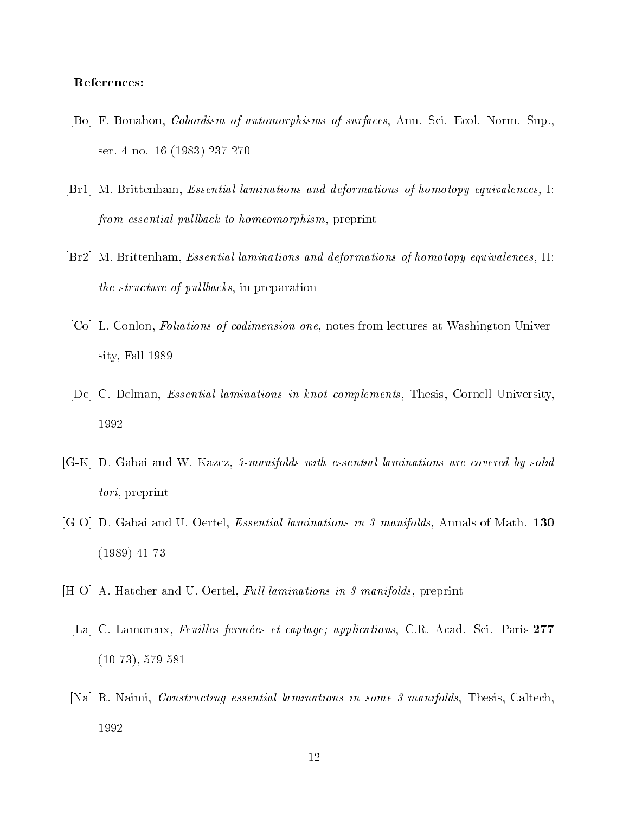## References:

- [Bo] F. Bonahon, Cobordism of automorphisms of surfaces, Ann. Sci. Ecol. Norm. Sup., ser. 4 no. 16 (1983) 237-270
- [Br1] M. Brittenham, Essential laminations and deformations of homotopy equivalences, I: from essential pullback to homeomorphism, preprint
- [Br2] M. Brittenham, Essential laminations and deformations of homotopy equivalences, II: the structure of  $p$ ullbacks, in preparation
- [Co] L. Conlon, Foliations of codimension-one, notes from lectures at Washington University, Fall 1989
- [De] C. Delman, Essential laminations in knot complements, Thesis, Cornell University, 1992
- [G-K] D. Gabai and W. Kazez, 3-manifolds with essential laminations are covered by solid tori, preprint
- [G-O] D. Gabai and U. Oertel, Essential laminations in 3-manifolds, Annals of Math. <sup>130</sup> (1989) 41-73
- [H-O] A. Hatcher and U. Oertel, Full laminations in 3-manifolds, preprint
	- [La] C. Lamoreux, Feuilles fermées et captage; applications, C.R. Acad. Sci. Paris 277 (10-73), 579-581
	- [Na] R. Naimi, Constructing essential laminations in some 3-manifolds, Thesis, Caltech, 1992